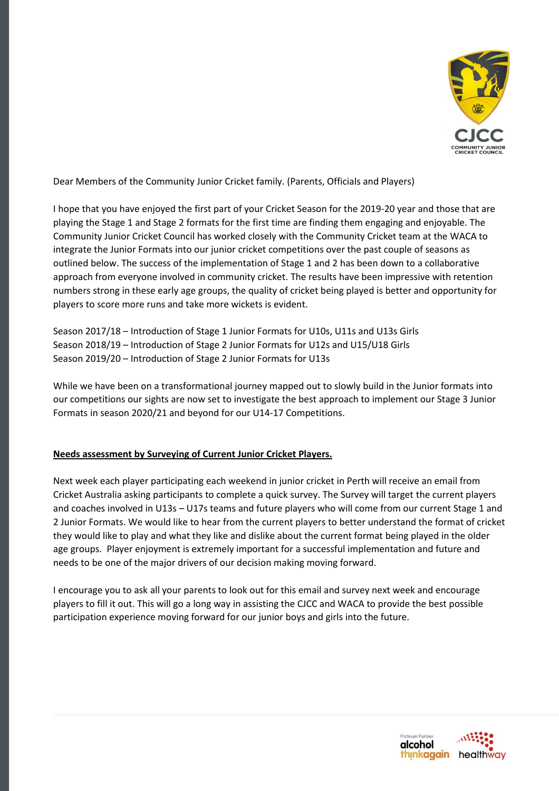

Dear Members of the Community Junior Cricket family. (Parents, Officials and Players)

I hope that you have enjoyed the first part of your Cricket Season for the 2019-20 year and those that are playing the Stage 1 and Stage 2 formats for the first time are finding them engaging and enjoyable. The Community Junior Cricket Council has worked closely with the Community Cricket team at the WACA to integrate the Junior Formats into our junior cricket competitions over the past couple of seasons as outlined below. The success of the implementation of Stage 1 and 2 has been down to a collaborative approach from everyone involved in community cricket. The results have been impressive with retention numbers strong in these early age groups, the quality of cricket being played is better and opportunity for players to score more runs and take more wickets is evident.

Season 2017/18 – Introduction of Stage 1 Junior Formats for U10s, U11s and U13s Girls Season 2018/19 – Introduction of Stage 2 Junior Formats for U12s and U15/U18 Girls Season 2019/20 – Introduction of Stage 2 Junior Formats for U13s

While we have been on a transformational journey mapped out to slowly build in the Junior formats into our competitions our sights are now set to investigate the best approach to implement our Stage 3 Junior Formats in season 2020/21 and beyond for our U14-17 Competitions.

## **Needs assessment by Surveying of Current Junior Cricket Players.**

Next week each player participating each weekend in junior cricket in Perth will receive an email from Cricket Australia asking participants to complete a quick survey. The Survey will target the current players and coaches involved in U13s – U17s teams and future players who will come from our current Stage 1 and 2 Junior Formats. We would like to hear from the current players to better understand the format of cricket they would like to play and what they like and dislike about the current format being played in the older age groups. Player enjoyment is extremely important for a successful implementation and future and needs to be one of the major drivers of our decision making moving forward.

I encourage you to ask all your parents to look out for this email and survey next week and encourage players to fill it out. This will go a long way in assisting the CJCC and WACA to provide the best possible participation experience moving forward for our junior boys and girls into the future.